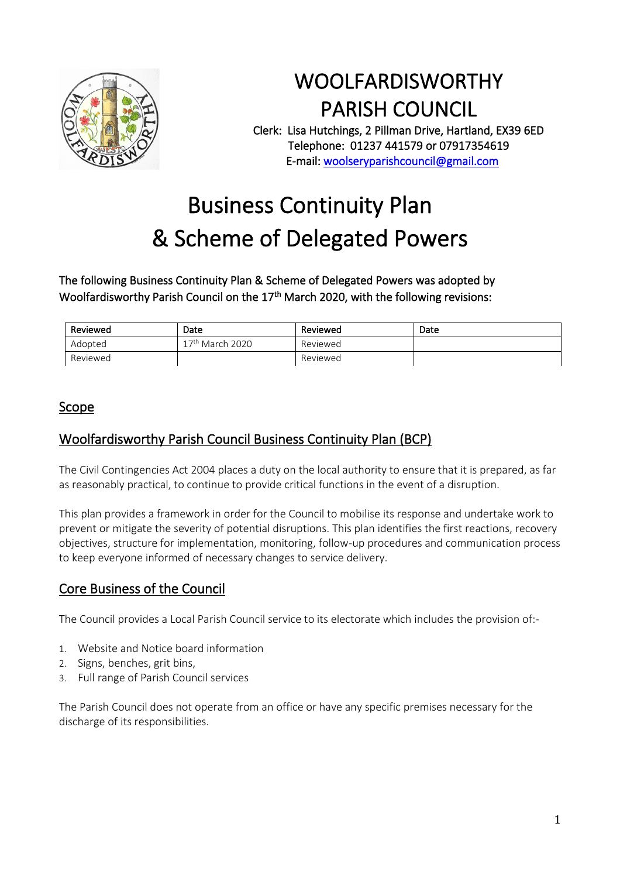

# WOOLFARDISWORTHY PARISH COUNCIL

Clerk: Lisa Hutchings, 2 Pillman Drive, Hartland, EX39 6ED Telephone: 01237 441579 or 07917354619 E-mail: [woolseryparishcouncil@gmail.com](mailto:woolseryparishcouncil@gmail.com) 

# Business Continuity Plan & Scheme of Delegated Powers

### The following Business Continuity Plan & Scheme of Delegated Powers was adopted by Woolfardisworthy Parish Council on the 17<sup>th</sup> March 2020, with the following revisions:

| Reviewed | Date              | Reviewed | Date |
|----------|-------------------|----------|------|
| Adopted  | $17th$ March 2020 | Reviewed |      |
| Reviewed |                   | Reviewed |      |

### Scope

### Woolfardisworthy Parish Council Business Continuity Plan (BCP)

The Civil Contingencies Act 2004 places a duty on the local authority to ensure that it is prepared, as far as reasonably practical, to continue to provide critical functions in the event of a disruption.

This plan provides a framework in order for the Council to mobilise its response and undertake work to prevent or mitigate the severity of potential disruptions. This plan identifies the first reactions, recovery objectives, structure for implementation, monitoring, follow-up procedures and communication process to keep everyone informed of necessary changes to service delivery.

### Core Business of the Council

The Council provides a Local Parish Council service to its electorate which includes the provision of:-

- 1. Website and Notice board information
- 2. Signs, benches, grit bins,
- 3. Full range of Parish Council services

The Parish Council does not operate from an office or have any specific premises necessary for the discharge of its responsibilities.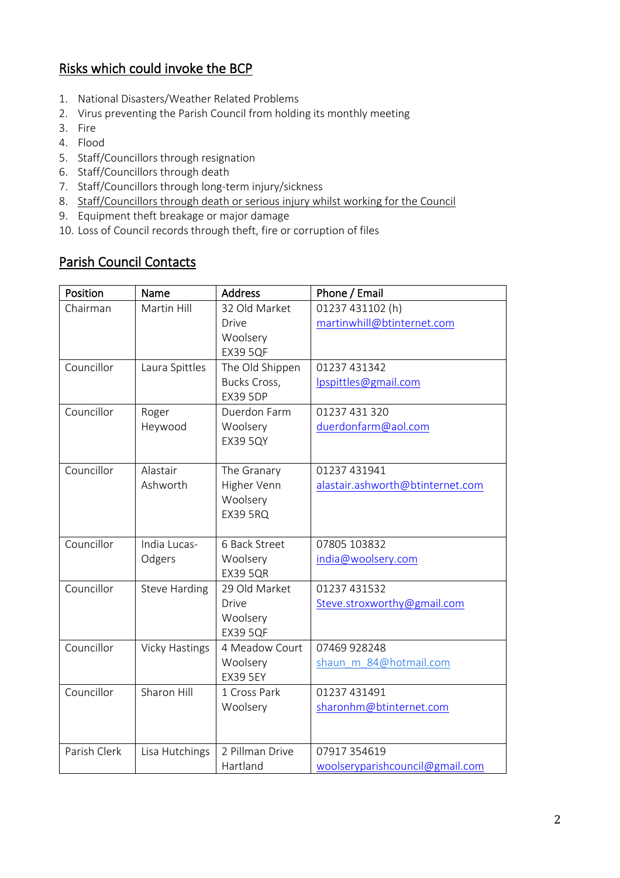# Risks which could invoke the BCP

- 1. National Disasters/Weather Related Problems
- 2. Virus preventing the Parish Council from holding its monthly meeting
- 3. Fire
- 4. Flood
- 5. Staff/Councillors through resignation
- 6. Staff/Councillors through death
- 7. Staff/Councillors through long-term injury/sickness
- 8. Staff/Councillors through death or serious injury whilst working for the Council
- 9. Equipment theft breakage or major damage
- 10. Loss of Council records through theft, fire or corruption of files

# Parish Council Contacts

| Position     | Name                  | <b>Address</b>  | Phone / Email                    |
|--------------|-----------------------|-----------------|----------------------------------|
| Chairman     | Martin Hill           | 32 Old Market   | 01237 431102 (h)                 |
|              |                       | Drive           | martinwhill@btinternet.com       |
|              |                       | Woolsery        |                                  |
|              |                       | <b>EX39 5QF</b> |                                  |
| Councillor   | Laura Spittles        | The Old Shippen | 01237 431342                     |
|              |                       | Bucks Cross,    | lpspittles@gmail.com             |
|              |                       | <b>EX39 5DP</b> |                                  |
| Councillor   | Roger                 | Duerdon Farm    | 01237 431 320                    |
|              | Heywood               | Woolsery        | duerdonfarm@aol.com              |
|              |                       | <b>EX39 5QY</b> |                                  |
| Councillor   | Alastair              | The Granary     | 01237 431941                     |
|              | Ashworth              | Higher Venn     | alastair.ashworth@btinternet.com |
|              |                       | Woolsery        |                                  |
|              |                       | <b>EX39 5RQ</b> |                                  |
|              |                       |                 |                                  |
| Councillor   | India Lucas-          | 6 Back Street   | 07805 103832                     |
|              | Odgers                | Woolsery        | india@woolsery.com               |
|              |                       | <b>EX39 5QR</b> |                                  |
| Councillor   | <b>Steve Harding</b>  | 29 Old Market   | 01237 431532                     |
|              |                       | <b>Drive</b>    | Steve.stroxworthy@gmail.com      |
|              |                       | Woolsery        |                                  |
|              |                       | <b>EX39 5QF</b> |                                  |
| Councillor   | <b>Vicky Hastings</b> | 4 Meadow Court  | 07469 928248                     |
|              |                       | Woolsery        | shaun m 84@hotmail.com           |
|              |                       | <b>EX39 5EY</b> |                                  |
| Councillor   | Sharon Hill           | 1 Cross Park    | 01237 431491                     |
|              |                       | Woolsery        | sharonhm@btinternet.com          |
|              |                       |                 |                                  |
| Parish Clerk | Lisa Hutchings        | 2 Pillman Drive | 07917 354619                     |
|              |                       | Hartland        | woolseryparishcouncil@gmail.com  |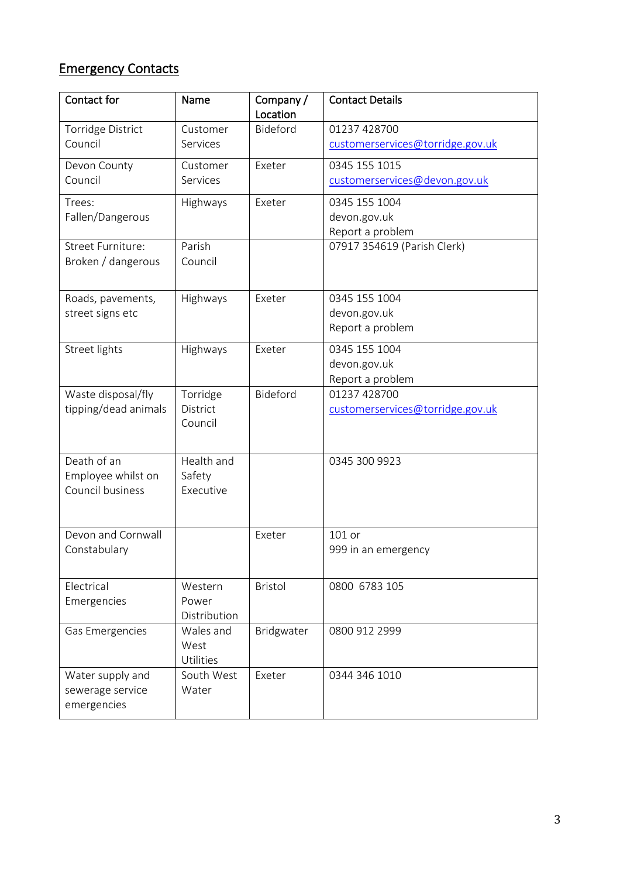# Emergency Contacts

| Contact for                     | Name                | Company/<br>Location | <b>Contact Details</b>           |
|---------------------------------|---------------------|----------------------|----------------------------------|
| <b>Torridge District</b>        | Customer            | Bideford             | 01237 428700                     |
| Council                         | Services            |                      | customerservices@torridge.gov.uk |
| Devon County                    | Customer            | Exeter               | 0345 155 1015                    |
| Council                         | Services            |                      | customerservices@devon.gov.uk    |
| Trees:                          | Highways            | Exeter               | 0345 155 1004                    |
| Fallen/Dangerous                |                     |                      | devon.gov.uk                     |
| Street Furniture:               | Parish              |                      | Report a problem                 |
|                                 | Council             |                      | 07917 354619 (Parish Clerk)      |
| Broken / dangerous              |                     |                      |                                  |
| Roads, pavements,               | Highways            | Exeter               | 0345 155 1004                    |
| street signs etc                |                     |                      | devon.gov.uk                     |
|                                 |                     |                      | Report a problem                 |
| Street lights                   | Highways            | Exeter               | 0345 155 1004                    |
|                                 |                     |                      | devon.gov.uk                     |
|                                 |                     |                      | Report a problem                 |
| Waste disposal/fly              | Torridge            | Bideford             | 01237 428700                     |
| tipping/dead animals            | District<br>Council |                      | customerservices@torridge.gov.uk |
| Death of an                     | Health and          |                      | 0345 300 9923                    |
| Employee whilst on              | Safety              |                      |                                  |
| Council business                | Executive           |                      |                                  |
|                                 |                     |                      |                                  |
| Devon and Cornwall              |                     | Exeter               | 101 or                           |
| Constabulary                    |                     |                      | 999 in an emergency              |
| Electrical                      | Western             | Bristol              | 0800 6783 105                    |
| Emergencies                     | Power               |                      |                                  |
|                                 | Distribution        |                      |                                  |
| Gas Emergencies                 | Wales and           | Bridgwater           | 0800 912 2999                    |
|                                 | West                |                      |                                  |
|                                 | Utilities           |                      |                                  |
| Water supply and                | South West<br>Water | Exeter               | 0344 346 1010                    |
| sewerage service<br>emergencies |                     |                      |                                  |
|                                 |                     |                      |                                  |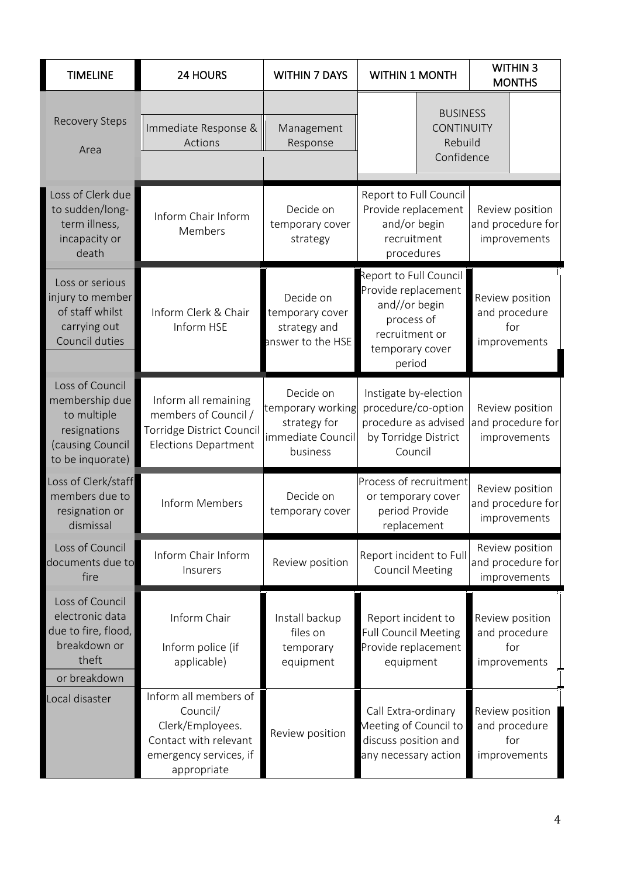| <b>TIMELINE</b>                                                                                          | <b>24 HOURS</b>                                                                                                         | <b>WITHIN 7 DAYS</b>                                                            | <b>WITHIN 1 MONTH</b>                                                                                                       | <b>WITHIN 3</b><br><b>MONTHS</b>                        |
|----------------------------------------------------------------------------------------------------------|-------------------------------------------------------------------------------------------------------------------------|---------------------------------------------------------------------------------|-----------------------------------------------------------------------------------------------------------------------------|---------------------------------------------------------|
| <b>Recovery Steps</b><br>Area                                                                            | Immediate Response &<br>Actions                                                                                         | Management<br>Response                                                          | <b>BUSINESS</b><br><b>CONTINUITY</b><br>Rebuild<br>Confidence                                                               |                                                         |
| Loss of Clerk due<br>to sudden/long-<br>term illness,<br>incapacity or<br>death                          | Inform Chair Inform<br>Members                                                                                          | Decide on<br>temporary cover<br>strategy                                        | Report to Full Council<br>Provide replacement<br>and/or begin<br>recruitment<br>procedures                                  | Review position<br>and procedure for<br>improvements    |
| Loss or serious<br>injury to member<br>of staff whilst<br>carrying out<br>Council duties                 | Inform Clerk & Chair<br>Inform HSE                                                                                      | Decide on<br>temporary cover<br>strategy and<br>answer to the HSE               | Report to Full Council<br>Provide replacement<br>and//or begin<br>process of<br>recruitment or<br>temporary cover<br>period | Review position<br>and procedure<br>for<br>improvements |
| Loss of Council<br>membership due<br>to multiple<br>resignations<br>(causing Council<br>to be inquorate) | Inform all remaining<br>members of Council /<br>Torridge District Council<br><b>Elections Department</b>                | Decide on<br>temporary working<br>strategy for<br>immediate Council<br>business | Instigate by-election<br>procedure/co-option<br>procedure as advised<br>by Torridge District<br>Council                     | Review position<br>and procedure for<br>improvements    |
| Loss of Clerk/staff<br>members due to<br>resignation or<br>dismissal                                     | Inform Members                                                                                                          | Decide on<br>temporary cover                                                    | Process of recruitment<br>or temporary cover<br>period Provide<br>replacement                                               | Review position<br>and procedure for<br>improvements    |
| Loss of Council<br>documents due to<br>fire                                                              | Inform Chair Inform<br>Insurers                                                                                         | Review position                                                                 | Report incident to Full<br><b>Council Meeting</b>                                                                           | Review position<br>and procedure for<br>improvements    |
| Loss of Council<br>electronic data<br>due to fire, flood,<br>breakdown or<br>theft<br>or breakdown       | Inform Chair<br>Inform police (if<br>applicable)                                                                        | Install backup<br>files on<br>temporary<br>equipment                            | Report incident to<br><b>Full Council Meeting</b><br>Provide replacement<br>equipment                                       | Review position<br>and procedure<br>for<br>improvements |
| Local disaster                                                                                           | Inform all members of<br>Council/<br>Clerk/Employees.<br>Contact with relevant<br>emergency services, if<br>appropriate | Review position                                                                 | Call Extra-ordinary<br>Meeting of Council to<br>discuss position and<br>any necessary action                                | Review position<br>and procedure<br>for<br>improvements |